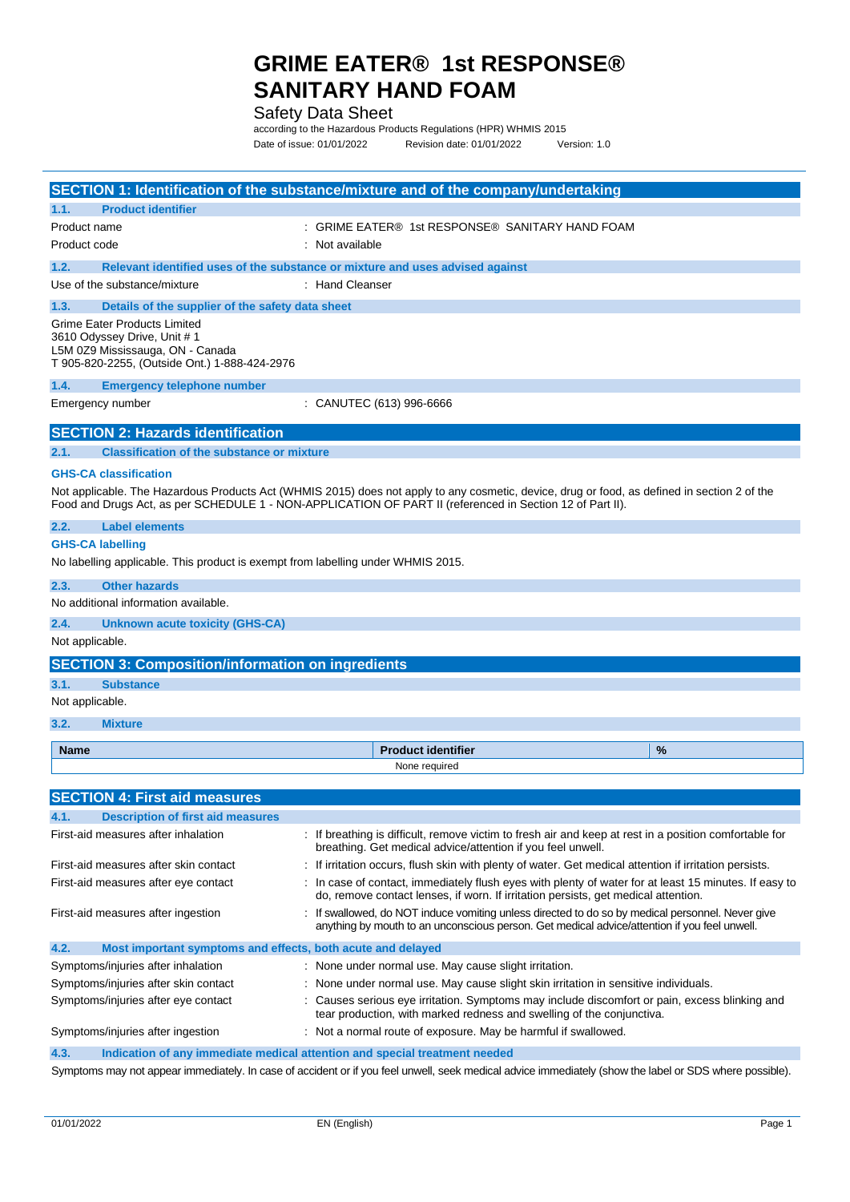#### Safety Data Sheet

according to the Hazardous Products Regulations (HPR) WHMIS 2015 Date of issue: 01/01/2022 Revision date: 01/01/2022 Version: 1.0

|                                                                                                                                                          | SECTION 1: Identification of the substance/mixture and of the company/undertaking                                                                                                                                                                         |   |
|----------------------------------------------------------------------------------------------------------------------------------------------------------|-----------------------------------------------------------------------------------------------------------------------------------------------------------------------------------------------------------------------------------------------------------|---|
| <b>Product identifier</b><br>1.1.                                                                                                                        |                                                                                                                                                                                                                                                           |   |
| Product name                                                                                                                                             | : GRIME EATER® 1st RESPONSE® SANITARY HAND FOAM                                                                                                                                                                                                           |   |
| Product code                                                                                                                                             | : Not available                                                                                                                                                                                                                                           |   |
| 1.2.                                                                                                                                                     | Relevant identified uses of the substance or mixture and uses advised against                                                                                                                                                                             |   |
| Use of the substance/mixture                                                                                                                             | : Hand Cleanser                                                                                                                                                                                                                                           |   |
| 1.3.<br>Details of the supplier of the safety data sheet                                                                                                 |                                                                                                                                                                                                                                                           |   |
| <b>Grime Eater Products Limited</b><br>3610 Odyssey Drive, Unit # 1<br>L5M 0Z9 Mississauga, ON - Canada<br>T 905-820-2255, (Outside Ont.) 1-888-424-2976 |                                                                                                                                                                                                                                                           |   |
| 1.4.<br><b>Emergency telephone number</b>                                                                                                                |                                                                                                                                                                                                                                                           |   |
| Emergency number                                                                                                                                         | : CANUTEC (613) 996-6666                                                                                                                                                                                                                                  |   |
| <b>SECTION 2: Hazards identification</b>                                                                                                                 |                                                                                                                                                                                                                                                           |   |
| <b>Classification of the substance or mixture</b><br>2.1.                                                                                                |                                                                                                                                                                                                                                                           |   |
| <b>GHS-CA classification</b>                                                                                                                             |                                                                                                                                                                                                                                                           |   |
|                                                                                                                                                          | Not applicable. The Hazardous Products Act (WHMIS 2015) does not apply to any cosmetic, device, drug or food, as defined in section 2 of the<br>Food and Drugs Act, as per SCHEDULE 1 - NON-APPLICATION OF PART II (referenced in Section 12 of Part II). |   |
| <b>Label elements</b><br>2.2.                                                                                                                            |                                                                                                                                                                                                                                                           |   |
| <b>GHS-CA labelling</b>                                                                                                                                  |                                                                                                                                                                                                                                                           |   |
| No labelling applicable. This product is exempt from labelling under WHMIS 2015.                                                                         |                                                                                                                                                                                                                                                           |   |
| 2.3.<br><b>Other hazards</b>                                                                                                                             |                                                                                                                                                                                                                                                           |   |
| No additional information available.                                                                                                                     |                                                                                                                                                                                                                                                           |   |
| 2.4.<br>Unknown acute toxicity (GHS-CA)                                                                                                                  |                                                                                                                                                                                                                                                           |   |
| Not applicable.                                                                                                                                          |                                                                                                                                                                                                                                                           |   |
| <b>SECTION 3: Composition/information on ingredients</b>                                                                                                 |                                                                                                                                                                                                                                                           |   |
| 3.1.<br><b>Substance</b>                                                                                                                                 |                                                                                                                                                                                                                                                           |   |
| Not applicable.                                                                                                                                          |                                                                                                                                                                                                                                                           |   |
| 3.2.<br><b>Mixture</b>                                                                                                                                   |                                                                                                                                                                                                                                                           |   |
| <b>Name</b>                                                                                                                                              | <b>Product identifier</b>                                                                                                                                                                                                                                 | % |
|                                                                                                                                                          | None required                                                                                                                                                                                                                                             |   |
| <b>SECTION 4: First aid measures</b>                                                                                                                     |                                                                                                                                                                                                                                                           |   |
| 4.1.<br><b>Description of first aid measures</b>                                                                                                         |                                                                                                                                                                                                                                                           |   |
| First-aid measures after inhalation                                                                                                                      | : If breathing is difficult, remove victim to fresh air and keep at rest in a position comfortable for<br>breathing. Get medical advice/attention if you feel unwell.                                                                                     |   |
| First-aid measures after skin contact                                                                                                                    | If irritation occurs, flush skin with plenty of water. Get medical attention if irritation persists.                                                                                                                                                      |   |
| First-aid measures after eye contact                                                                                                                     | : In case of contact, immediately flush eyes with plenty of water for at least 15 minutes. If easy to<br>do, remove contact lenses, if worn. If irritation persists, get medical attention.                                                               |   |
| First-aid measures after ingestion                                                                                                                       | : If swallowed, do NOT induce vomiting unless directed to do so by medical personnel. Never give<br>anything by mouth to an unconscious person. Get medical advice/attention if you feel unwell.                                                          |   |
| 4.2.<br>Most important symptoms and effects, both acute and delayed                                                                                      |                                                                                                                                                                                                                                                           |   |
| Symptoms/injuries after inhalation                                                                                                                       | None under normal use. May cause slight irritation.                                                                                                                                                                                                       |   |
| Symptoms/injuries after skin contact                                                                                                                     | None under normal use. May cause slight skin irritation in sensitive individuals.                                                                                                                                                                         |   |
| Symptoms/injuries after eye contact                                                                                                                      | Causes serious eye irritation. Symptoms may include discomfort or pain, excess blinking and<br>tear production, with marked redness and swelling of the conjunctiva.                                                                                      |   |
| Symptoms/injuries after ingestion                                                                                                                        | : Not a normal route of exposure. May be harmful if swallowed.                                                                                                                                                                                            |   |
| 4.3.                                                                                                                                                     | Indication of any immediate medical attention and special treatment needed                                                                                                                                                                                |   |
|                                                                                                                                                          | Symptoms may not appear immediately. In case of accident or if you feel unwell, seek medical advice immediately (show the label or SDS where possible).                                                                                                   |   |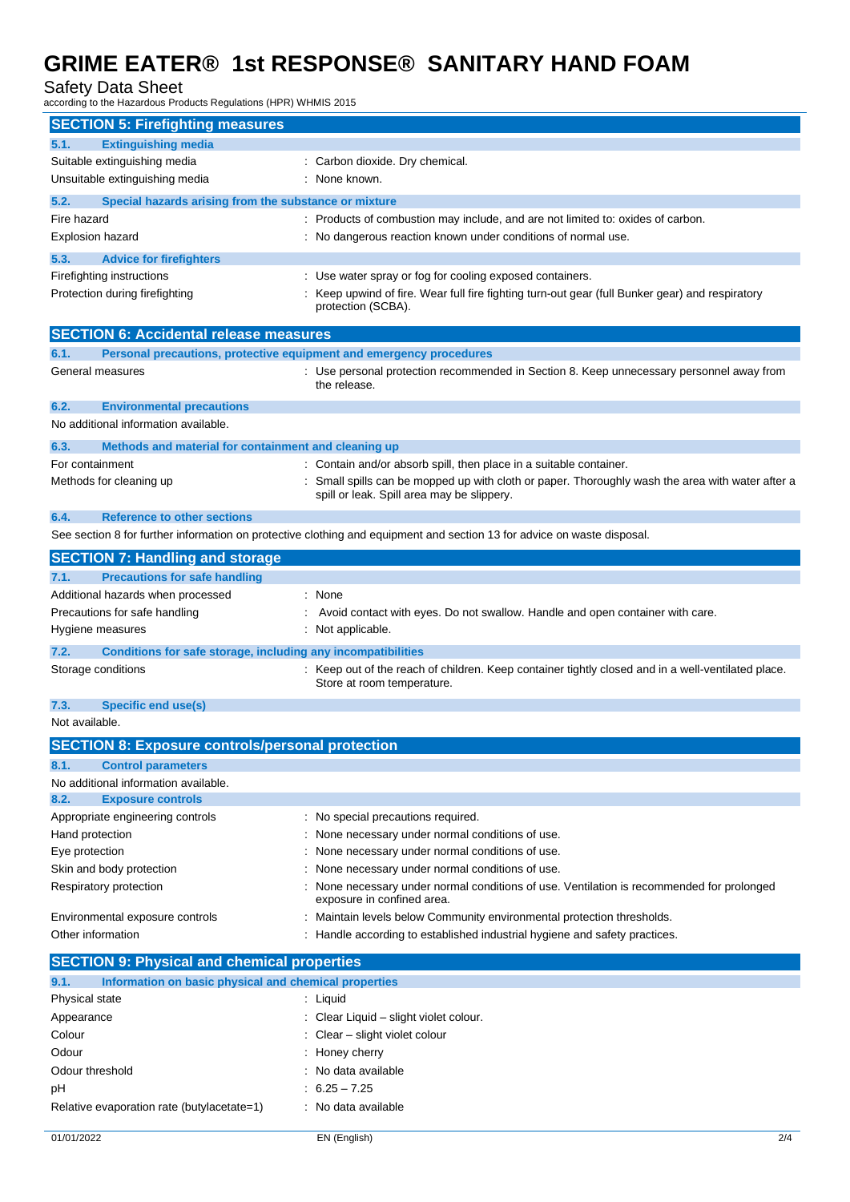#### Safety Data Sheet

according to the Hazardous Products Regulations (HPR) WHMIS 2015

| <b>SECTION 5: Firefighting measures</b>                                     |                                                                                                                         |
|-----------------------------------------------------------------------------|-------------------------------------------------------------------------------------------------------------------------|
| <b>Extinguishing media</b><br>5.1.                                          |                                                                                                                         |
| Suitable extinguishing media                                                | Carbon dioxide. Dry chemical.                                                                                           |
| Unsuitable extinguishing media                                              | None known.                                                                                                             |
| Special hazards arising from the substance or mixture<br>5.2.               |                                                                                                                         |
| Fire hazard                                                                 | Products of combustion may include, and are not limited to: oxides of carbon.                                           |
| <b>Explosion hazard</b>                                                     | No dangerous reaction known under conditions of normal use.                                                             |
| 5.3.<br><b>Advice for firefighters</b>                                      |                                                                                                                         |
| Firefighting instructions                                                   | Use water spray or fog for cooling exposed containers.                                                                  |
| Protection during firefighting                                              | Keep upwind of fire. Wear full fire fighting turn-out gear (full Bunker gear) and respiratory                           |
|                                                                             | protection (SCBA).                                                                                                      |
| <b>SECTION 6: Accidental release measures</b>                               |                                                                                                                         |
| Personal precautions, protective equipment and emergency procedures<br>6.1. |                                                                                                                         |
| General measures                                                            | : Use personal protection recommended in Section 8. Keep unnecessary personnel away from<br>the release.                |
| 6.2.<br><b>Environmental precautions</b>                                    |                                                                                                                         |
| No additional information available.                                        |                                                                                                                         |
| 6.3.<br>Methods and material for containment and cleaning up                |                                                                                                                         |
| For containment                                                             | Contain and/or absorb spill, then place in a suitable container.                                                        |
| Methods for cleaning up                                                     | Small spills can be mopped up with cloth or paper. Thoroughly wash the area with water after a                          |
|                                                                             | spill or leak. Spill area may be slippery.                                                                              |
| <b>Reference to other sections</b><br>6.4.                                  |                                                                                                                         |
|                                                                             | See section 8 for further information on protective clothing and equipment and section 13 for advice on waste disposal. |
| <b>SECTION 7: Handling and storage</b>                                      |                                                                                                                         |
| <b>Precautions for safe handling</b><br>7.1.                                |                                                                                                                         |
| Additional hazards when processed                                           | $:$ None                                                                                                                |
| Precautions for safe handling                                               | Avoid contact with eyes. Do not swallow. Handle and open container with care.                                           |
| Hygiene measures                                                            | Not applicable.                                                                                                         |
| 7.2.<br>Conditions for safe storage, including any incompatibilities        |                                                                                                                         |
| Storage conditions                                                          | Keep out of the reach of children. Keep container tightly closed and in a well-ventilated place.                        |
|                                                                             | Store at room temperature.                                                                                              |
| <b>Specific end use(s)</b><br>7.3.                                          |                                                                                                                         |
| Not available.                                                              |                                                                                                                         |
| <b>SECTION 8: Exposure controls/personal protection</b>                     |                                                                                                                         |
| 8.1.<br><b>Control parameters</b>                                           |                                                                                                                         |
| No additional information available.                                        |                                                                                                                         |
| <b>Exposure controls</b><br>8.2.                                            |                                                                                                                         |
| Appropriate engineering controls                                            | : No special precautions required.                                                                                      |
| Hand protection                                                             | None necessary under normal conditions of use.                                                                          |
| Eye protection                                                              | None necessary under normal conditions of use.                                                                          |
| Skin and body protection                                                    | None necessary under normal conditions of use.                                                                          |
| Respiratory protection                                                      | None necessary under normal conditions of use. Ventilation is recommended for prolonged<br>exposure in confined area.   |
| Environmental exposure controls                                             | Maintain levels below Community environmental protection thresholds.                                                    |
| Other information                                                           | Handle according to established industrial hygiene and safety practices.                                                |
| <b>SECTION 9: Physical and chemical properties</b>                          |                                                                                                                         |
| 9.1.<br>Information on basic physical and chemical properties               |                                                                                                                         |
| Physical state                                                              | Liquid                                                                                                                  |
| Appearance                                                                  | Clear Liquid - slight violet colour.                                                                                    |
| Colour                                                                      | Clear - slight violet colour                                                                                            |
| Odour                                                                       | Honey cherry                                                                                                            |
| Odour threshold                                                             | No data available                                                                                                       |
| рH                                                                          | $6.25 - 7.25$                                                                                                           |
| Relative evaporation rate (butylacetate=1)                                  | No data available                                                                                                       |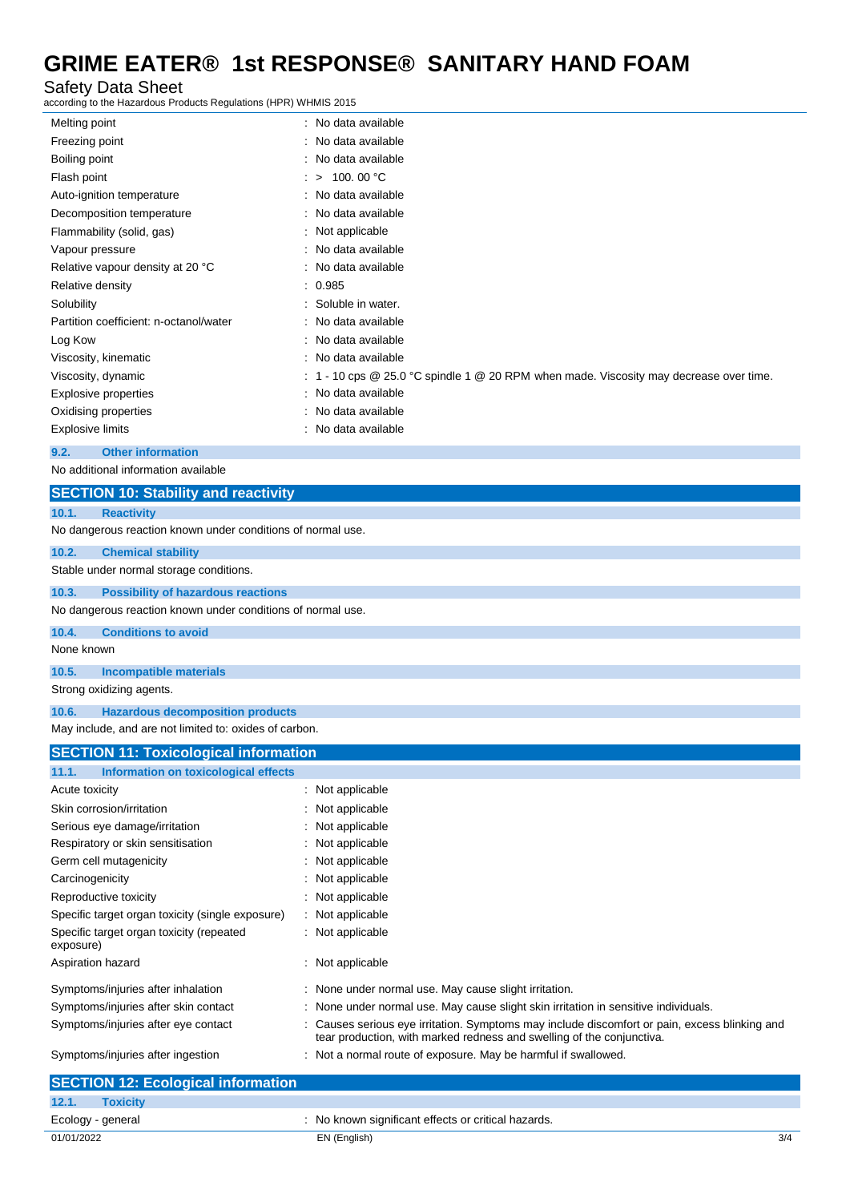#### Safety Data Sheet

according to the Hazardous Products Regulations (HPR) WHMIS 2015

| Melting point                          | : No data available                                                                        |
|----------------------------------------|--------------------------------------------------------------------------------------------|
| Freezing point                         | : No data available                                                                        |
| Boiling point                          | : No data available                                                                        |
| Flash point                            | 100.00 °C<br>$\therefore$ >                                                                |
| Auto-ignition temperature              | : No data available                                                                        |
| Decomposition temperature              | No data available                                                                          |
| Flammability (solid, gas)              | Not applicable                                                                             |
| Vapour pressure                        | : No data available                                                                        |
| Relative vapour density at 20 °C       | : No data available                                                                        |
| Relative density                       | : 0.985                                                                                    |
| Solubility                             | Soluble in water.                                                                          |
| Partition coefficient: n-octanol/water | : No data available                                                                        |
| Log Kow                                | : No data available                                                                        |
| Viscosity, kinematic                   | : No data available                                                                        |
| Viscosity, dynamic                     | : 1 - 10 cps $@$ 25.0 °C spindle 1 $@$ 20 RPM when made. Viscosity may decrease over time. |
| Explosive properties                   | No data available                                                                          |
| Oxidising properties                   | : No data available                                                                        |
| <b>Explosive limits</b>                | : No data available                                                                        |
| <b>Other information</b><br>9.2.       |                                                                                            |

No additional information available

### **SECTION 10: Stability and reactivity 10.1. Reactivity** No dangerous reaction known under conditions of normal use. **10.2. Chemical stability** Stable under normal storage conditions. **10.3. Possibility of hazardous reactions** No dangerous reaction known under conditions of normal use. **10.4. Conditions to avoid** None known **10.5. Incompatible materials** Strong oxidizing agents. **10.6. Hazardous decomposition products** May include, and are not limited to: oxides of carbon.

| May include, and are not limited to: oxides of carbon. |                                                                                                                                                                        |  |  |  |
|--------------------------------------------------------|------------------------------------------------------------------------------------------------------------------------------------------------------------------------|--|--|--|
| <b>SECTION 11: Toxicological information</b>           |                                                                                                                                                                        |  |  |  |
| 11.1.<br>Information on toxicological effects          |                                                                                                                                                                        |  |  |  |
| Acute toxicity                                         | : Not applicable                                                                                                                                                       |  |  |  |
| Skin corrosion/irritation                              | : Not applicable                                                                                                                                                       |  |  |  |
| Serious eye damage/irritation                          | : Not applicable                                                                                                                                                       |  |  |  |
| Respiratory or skin sensitisation                      | : Not applicable                                                                                                                                                       |  |  |  |
| Germ cell mutagenicity                                 | : Not applicable                                                                                                                                                       |  |  |  |
| Carcinogenicity                                        | : Not applicable                                                                                                                                                       |  |  |  |
| Reproductive toxicity                                  | : Not applicable                                                                                                                                                       |  |  |  |
| Specific target organ toxicity (single exposure)       | : Not applicable                                                                                                                                                       |  |  |  |
| Specific target organ toxicity (repeated<br>exposure)  | : Not applicable                                                                                                                                                       |  |  |  |
| Aspiration hazard                                      | $:$ Not applicable                                                                                                                                                     |  |  |  |
| Symptoms/injuries after inhalation                     | : None under normal use. May cause slight irritation.                                                                                                                  |  |  |  |
| Symptoms/injuries after skin contact                   | : None under normal use. May cause slight skin irritation in sensitive individuals.                                                                                    |  |  |  |
| Symptoms/injuries after eye contact                    | : Causes serious eye irritation. Symptoms may include discomfort or pain, excess blinking and<br>tear production, with marked redness and swelling of the conjunctiva. |  |  |  |
| Symptoms/injuries after ingestion                      | : Not a normal route of exposure. May be harmful if swallowed.                                                                                                         |  |  |  |

| <b>SECTION 12: Ecological information</b> |                                                     |     |
|-------------------------------------------|-----------------------------------------------------|-----|
| 12.1.<br><b>Toxicity</b>                  |                                                     |     |
| Ecology - general                         | : No known significant effects or critical hazards. |     |
| 01/01/2022                                | EN (English)                                        | 3/4 |